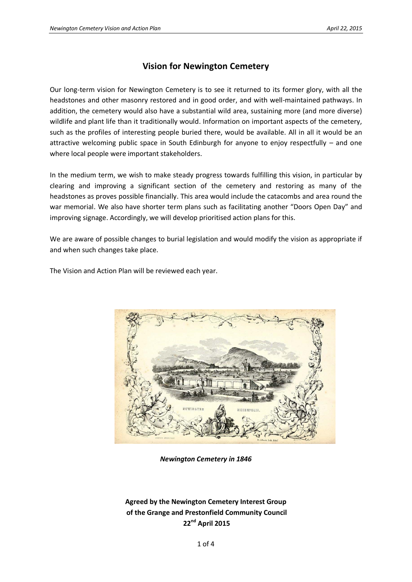## **Vision for Newington Cemetery**

Our long-term vision for Newington Cemetery is to see it returned to its former glory, with all the headstones and other masonry restored and in good order, and with well-maintained pathways. In addition, the cemetery would also have a substantial wild area, sustaining more (and more diverse) wildlife and plant life than it traditionally would. Information on important aspects of the cemetery, such as the profiles of interesting people buried there, would be available. All in all it would be an attractive welcoming public space in South Edinburgh for anyone to enjoy respectfully – and one where local people were important stakeholders.

In the medium term, we wish to make steady progress towards fulfilling this vision, in particular by clearing and improving a significant section of the cemetery and restoring as many of the headstones as proves possible financially. This area would include the catacombs and area round the war memorial. We also have shorter term plans such as facilitating another "Doors Open Day" and improving signage. Accordingly, we will develop prioritised action plans for this.

We are aware of possible changes to burial legislation and would modify the vision as appropriate if and when such changes take place.

The Vision and Action Plan will be reviewed each year.



*Newington Cemetery in 1846*

## **Agreed by the Newington Cemetery Interest Group of the Grange and Prestonfield Community Council 22nd April 2015**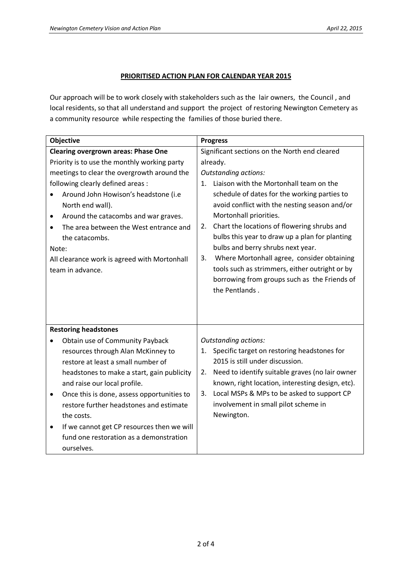## **PRIORITISED ACTION PLAN FOR CALENDAR YEAR 2015**

Our approach will be to work closely with stakeholders such as the lair owners, the Council , and local residents, so that all understand and support the project of restoring Newington Cemetery as a community resource while respecting the families of those buried there.

| Objective                                                                                                                                                                                                                                                                                                                                                                                                         | <b>Progress</b>                                                                                                                                                                                                                                                                                                                                                                                                                                                                                                                      |  |
|-------------------------------------------------------------------------------------------------------------------------------------------------------------------------------------------------------------------------------------------------------------------------------------------------------------------------------------------------------------------------------------------------------------------|--------------------------------------------------------------------------------------------------------------------------------------------------------------------------------------------------------------------------------------------------------------------------------------------------------------------------------------------------------------------------------------------------------------------------------------------------------------------------------------------------------------------------------------|--|
| <b>Clearing overgrown areas: Phase One</b>                                                                                                                                                                                                                                                                                                                                                                        | Significant sections on the North end cleared                                                                                                                                                                                                                                                                                                                                                                                                                                                                                        |  |
| Priority is to use the monthly working party<br>meetings to clear the overgrowth around the<br>following clearly defined areas :<br>Around John Howison's headstone (i.e<br>North end wall).<br>Around the catacombs and war graves.<br>٠<br>The area between the West entrance and<br>$\bullet$<br>the catacombs.<br>Note:<br>All clearance work is agreed with Mortonhall<br>team in advance.                   | already.<br><b>Outstanding actions:</b><br>1. Liaison with the Mortonhall team on the<br>schedule of dates for the working parties to<br>avoid conflict with the nesting season and/or<br>Mortonhall priorities.<br>Chart the locations of flowering shrubs and<br>2.<br>bulbs this year to draw up a plan for planting<br>bulbs and berry shrubs next year.<br>Where Mortonhall agree, consider obtaining<br>3.<br>tools such as strimmers, either outright or by<br>borrowing from groups such as the Friends of<br>the Pentlands. |  |
| <b>Restoring headstones</b>                                                                                                                                                                                                                                                                                                                                                                                       |                                                                                                                                                                                                                                                                                                                                                                                                                                                                                                                                      |  |
| Obtain use of Community Payback<br>resources through Alan McKinney to<br>restore at least a small number of<br>headstones to make a start, gain publicity<br>and raise our local profile.<br>Once this is done, assess opportunities to<br>٠<br>restore further headstones and estimate<br>the costs.<br>If we cannot get CP resources then we will<br>٠<br>fund one restoration as a demonstration<br>ourselves. | <b>Outstanding actions:</b><br>1. Specific target on restoring headstones for<br>2015 is still under discussion.<br>Need to identify suitable graves (no lair owner<br>2.<br>known, right location, interesting design, etc).<br>Local MSPs & MPs to be asked to support CP<br>3.<br>involvement in small pilot scheme in<br>Newington.                                                                                                                                                                                              |  |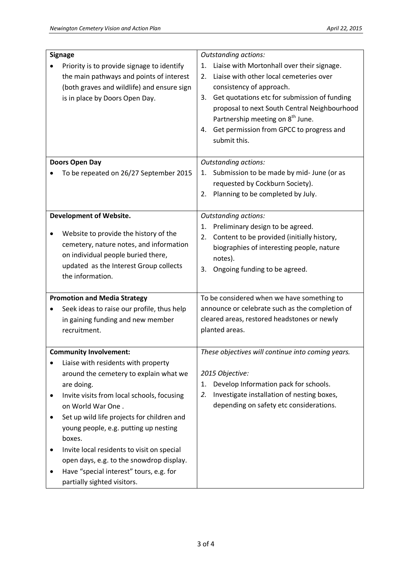| <b>Signage</b>                      |                                            | <b>Outstanding actions:</b>                        |
|-------------------------------------|--------------------------------------------|----------------------------------------------------|
|                                     | Priority is to provide signage to identify | Liaise with Mortonhall over their signage.<br>1.   |
|                                     | the main pathways and points of interest   | Liaise with other local cemeteries over<br>$2_{-}$ |
|                                     | (both graves and wildlife) and ensure sign | consistency of approach.                           |
|                                     | is in place by Doors Open Day.             | 3. Get quotations etc for submission of funding    |
|                                     |                                            | proposal to next South Central Neighbourhood       |
|                                     |                                            | Partnership meeting on 8 <sup>th</sup> June.       |
|                                     |                                            | Get permission from GPCC to progress and<br>4.     |
|                                     |                                            | submit this.                                       |
|                                     |                                            |                                                    |
|                                     | Doors Open Day                             | <b>Outstanding actions:</b>                        |
|                                     | To be repeated on 26/27 September 2015     | Submission to be made by mid- June (or as<br>1.    |
|                                     |                                            | requested by Cockburn Society).                    |
|                                     |                                            | Planning to be completed by July.<br>2.            |
|                                     |                                            |                                                    |
|                                     | <b>Development of Website.</b>             | <b>Outstanding actions:</b>                        |
|                                     | Website to provide the history of the      | Preliminary design to be agreed.<br>1.             |
|                                     | cemetery, nature notes, and information    | Content to be provided (initially history,<br>2.   |
|                                     | on individual people buried there,         | biographies of interesting people, nature          |
|                                     | updated as the Interest Group collects     | notes).                                            |
|                                     | the information.                           | Ongoing funding to be agreed.<br>3.                |
|                                     |                                            |                                                    |
| <b>Promotion and Media Strategy</b> |                                            | To be considered when we have something to         |
|                                     | Seek ideas to raise our profile, thus help | announce or celebrate such as the completion of    |
|                                     | in gaining funding and new member          | cleared areas, restored headstones or newly        |
|                                     | recruitment.                               | planted areas.                                     |
|                                     |                                            |                                                    |
|                                     | <b>Community Involvement:</b>              | These objectives will continue into coming years.  |
|                                     | Liaise with residents with property        |                                                    |
|                                     | around the cemetery to explain what we     | 2015 Objective:                                    |
|                                     | are doing.                                 | Develop Information pack for schools.<br>1.        |
|                                     | Invite visits from local schools, focusing | Investigate installation of nesting boxes,<br>2.   |
|                                     | on World War One.                          | depending on safety etc considerations.            |
|                                     | Set up wild life projects for children and |                                                    |
|                                     | young people, e.g. putting up nesting      |                                                    |
|                                     | boxes.                                     |                                                    |
|                                     | Invite local residents to visit on special |                                                    |
|                                     | open days, e.g. to the snowdrop display.   |                                                    |
|                                     | Have "special interest" tours, e.g. for    |                                                    |
|                                     | partially sighted visitors.                |                                                    |